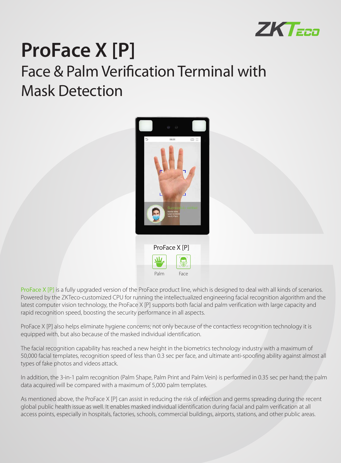

# **ProFace X [P]** Face & Palm Verification Terminal with Mask Detection



ProFace X [P] is a fully upgraded version of the ProFace product line, which is designed to deal with all kinds of scenarios. Powered by the ZKTeco-customized CPU for running the intellectualized engineering facial recognition algorithm and the latest computer vision technology, the ProFace X [P] supports both facial and palm verification with large capacity and rapid recognition speed, boosting the security performance in all aspects.

ProFace X [P] also helps eliminate hygiene concerns; not only because of the contactless recognition technology it is equipped with, but also because of the masked individual identification.

The facial recognition capability has reached a new height in the biometrics technology industry with a maximum of 50,000 facial templates, recognition speed of less than 0.3 sec per face, and ultimate anti-spoofing ability against almost all types of fake photos and videos attack.

In addition, the 3-in-1 palm recognition (Palm Shape, Palm Print and Palm Vein) is performed in 0.35 sec per hand; the palm data acquired will be compared with a maximum of 5,000 palm templates.

As mentioned above, the ProFace X [P] can assist in reducing the risk of infection and germs spreading during the recent global public health issue as well. It enables masked individual identification during facial and palm verification at all access points, especially in hospitals, factories, schools, commercial buildings, airports, stations, and other public areas.